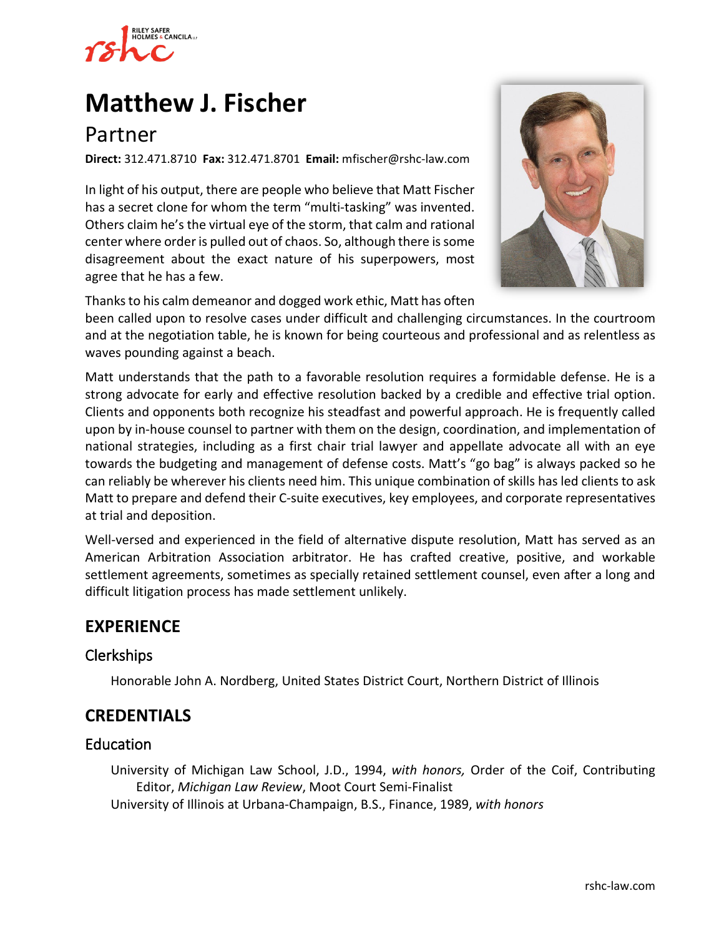

# **[Matthew J. Fischer](https://www.rshc-law.com/attorneys/attorney/matthew-j.-fischer)**

## Partner

**Direct:** 312.471.8710 **Fax:** 312.471.8701 **Email:** mfischer@rshc-law.com

In light of his output, there are people who believe that Matt Fischer has a secret clone for whom the term "multi-tasking" was invented. Others claim he's the virtual eye of the storm, that calm and rational center where order is pulled out of chaos. So, although there is some disagreement about the exact nature of his superpowers, most agree that he has a few.



Thanks to his calm demeanor and dogged work ethic, Matt has often

been called upon to resolve cases under difficult and challenging circumstances. In the courtroom and at the negotiation table, he is known for being courteous and professional and as relentless as waves pounding against a beach.

Matt understands that the path to a favorable resolution requires a formidable defense. He is a strong advocate for early and effective resolution backed by a credible and effective trial option. Clients and opponents both recognize his steadfast and powerful approach. He is frequently called upon by in-house counsel to partner with them on the design, coordination, and implementation of national strategies, including as a first chair trial lawyer and appellate advocate all with an eye towards the budgeting and management of defense costs. Matt's "go bag" is always packed so he can reliably be wherever his clients need him. This unique combination of skills has led clients to ask Matt to prepare and defend their C-suite executives, key employees, and corporate representatives at trial and deposition.

Well-versed and experienced in the field of alternative dispute resolution, Matt has served as an American Arbitration Association arbitrator. He has crafted creative, positive, and workable settlement agreements, sometimes as specially retained settlement counsel, even after a long and difficult litigation process has made settlement unlikely.

## **EXPERIENCE**

#### Clerkships

Honorable John A. Nordberg, United States District Court, Northern District of Illinois

## **CREDENTIALS**

#### Education

University of Michigan Law School, J.D., 1994, *with honors,* Order of the Coif, Contributing Editor, *Michigan Law Review*, Moot Court Semi-Finalist University of Illinois at Urbana-Champaign, B.S., Finance, 1989, *with honors*